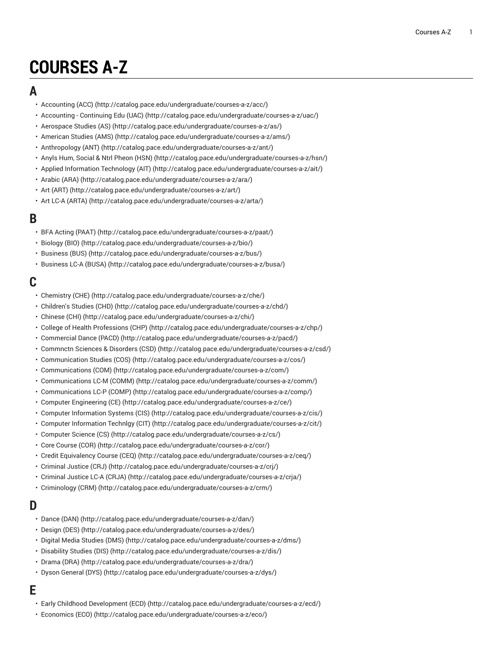# **COURSES A-Z**

### **A**

- [Accounting](http://catalog.pace.edu/undergraduate/courses-a-z/acc/) (ACC) [\(http://catalog.pace.edu/undergraduate/courses-a-z/acc/\)](http://catalog.pace.edu/undergraduate/courses-a-z/acc/)
- [Accounting](http://catalog.pace.edu/undergraduate/courses-a-z/uac/) Continuing Edu (UAC) [\(http://catalog.pace.edu/undergraduate/courses-a-z/uac/](http://catalog.pace.edu/undergraduate/courses-a-z/uac/))
- [Aerospace](http://catalog.pace.edu/undergraduate/courses-a-z/as/) Studies (AS) ([http://catalog.pace.edu/undergraduate/courses-a-z/as/\)](http://catalog.pace.edu/undergraduate/courses-a-z/as/)
- [American Studies \(AMS\)](http://catalog.pace.edu/undergraduate/courses-a-z/ams/) ([http://catalog.pace.edu/undergraduate/courses-a-z/ams/\)](http://catalog.pace.edu/undergraduate/courses-a-z/ams/)
- [Anthropology](http://catalog.pace.edu/undergraduate/courses-a-z/ant/) (ANT) (<http://catalog.pace.edu/undergraduate/courses-a-z/ant/>)
- [Anyls Hum, Social & Ntrl Pheon \(HSN\) \(http://catalog.pace.edu/undergraduate/courses-a-z/hsn/](http://catalog.pace.edu/undergraduate/courses-a-z/hsn/))
- Applied [Information](http://catalog.pace.edu/undergraduate/courses-a-z/ait/) Technology (AIT) (<http://catalog.pace.edu/undergraduate/courses-a-z/ait/>)
- [Arabic \(ARA\)](http://catalog.pace.edu/undergraduate/courses-a-z/ara/) ([http://catalog.pace.edu/undergraduate/courses-a-z/ara/\)](http://catalog.pace.edu/undergraduate/courses-a-z/ara/)
- Art [\(ART\)](http://catalog.pace.edu/undergraduate/courses-a-z/art/) (<http://catalog.pace.edu/undergraduate/courses-a-z/art/>)
- Art LC-A [\(ARTA\)](http://catalog.pace.edu/undergraduate/courses-a-z/arta/) [\(http://catalog.pace.edu/undergraduate/courses-a-z/arta/\)](http://catalog.pace.edu/undergraduate/courses-a-z/arta/)

#### **B**

- BFA Acting [\(PAAT\) \(http://catalog.pace.edu/undergraduate/courses-a-z/paat/\)](http://catalog.pace.edu/undergraduate/courses-a-z/paat/)
- [Biology \(BIO\)](http://catalog.pace.edu/undergraduate/courses-a-z/bio/) (<http://catalog.pace.edu/undergraduate/courses-a-z/bio/>)
- [Business \(BUS\) \(http://catalog.pace.edu/undergraduate/courses-a-z/bus/](http://catalog.pace.edu/undergraduate/courses-a-z/bus/))
- [Business](http://catalog.pace.edu/undergraduate/courses-a-z/busa/) LC-A (BUSA) [\(http://catalog.pace.edu/undergraduate/courses-a-z/busa/](http://catalog.pace.edu/undergraduate/courses-a-z/busa/))

# **C**

- [Chemistry](http://catalog.pace.edu/undergraduate/courses-a-z/che/) (CHE) (<http://catalog.pace.edu/undergraduate/courses-a-z/che/>)
- [Children's](http://catalog.pace.edu/undergraduate/courses-a-z/chd/) Studies (CHD) [\(http://catalog.pace.edu/undergraduate/courses-a-z/chd/](http://catalog.pace.edu/undergraduate/courses-a-z/chd/))
- [Chinese \(CHI\)](http://catalog.pace.edu/undergraduate/courses-a-z/chi/) (<http://catalog.pace.edu/undergraduate/courses-a-z/chi/>)
- College of Health [Professions](http://catalog.pace.edu/undergraduate/courses-a-z/chp/) (CHP) [\(http://catalog.pace.edu/undergraduate/courses-a-z/chp/\)](http://catalog.pace.edu/undergraduate/courses-a-z/chp/)
- [Commercial](http://catalog.pace.edu/undergraduate/courses-a-z/pacd/) Dance (PACD) ([http://catalog.pace.edu/undergraduate/courses-a-z/pacd/\)](http://catalog.pace.edu/undergraduate/courses-a-z/pacd/)
- [Commnctn](http://catalog.pace.edu/undergraduate/courses-a-z/csd/) Sciences & Disorders (CSD) (<http://catalog.pace.edu/undergraduate/courses-a-z/csd/>)
- [Communication Studies \(COS\)](http://catalog.pace.edu/undergraduate/courses-a-z/cos/) (<http://catalog.pace.edu/undergraduate/courses-a-z/cos/>)
- [Communications \(COM\)](http://catalog.pace.edu/undergraduate/courses-a-z/com/) (<http://catalog.pace.edu/undergraduate/courses-a-z/com/>)
- [Communications](http://catalog.pace.edu/undergraduate/courses-a-z/comm/) LC-M (COMM) [\(http://catalog.pace.edu/undergraduate/courses-a-z/comm/\)](http://catalog.pace.edu/undergraduate/courses-a-z/comm/)
- [Communications](http://catalog.pace.edu/undergraduate/courses-a-z/comp/) LC-P (COMP) (<http://catalog.pace.edu/undergraduate/courses-a-z/comp/>)
- [Computer Engineering \(CE\)](http://catalog.pace.edu/undergraduate/courses-a-z/ce/) ([http://catalog.pace.edu/undergraduate/courses-a-z/ce/\)](http://catalog.pace.edu/undergraduate/courses-a-z/ce/)
- [Computer Information Systems \(CIS\)](http://catalog.pace.edu/undergraduate/courses-a-z/cis/) [\(http://catalog.pace.edu/undergraduate/courses-a-z/cis/\)](http://catalog.pace.edu/undergraduate/courses-a-z/cis/)
- Computer [Information](http://catalog.pace.edu/undergraduate/courses-a-z/cit/) Technlgy (CIT) (<http://catalog.pace.edu/undergraduate/courses-a-z/cit/>)
- [Computer Science \(CS\)](http://catalog.pace.edu/undergraduate/courses-a-z/cs/) ([http://catalog.pace.edu/undergraduate/courses-a-z/cs/\)](http://catalog.pace.edu/undergraduate/courses-a-z/cs/)
- Core [Course](http://catalog.pace.edu/undergraduate/courses-a-z/cor/) (COR) ([http://catalog.pace.edu/undergraduate/courses-a-z/cor/\)](http://catalog.pace.edu/undergraduate/courses-a-z/cor/)
- Credit [Equivalency](http://catalog.pace.edu/undergraduate/courses-a-z/ceq/) Course (CEQ) (<http://catalog.pace.edu/undergraduate/courses-a-z/ceq/>)
- [Criminal Justice \(CRJ\)](http://catalog.pace.edu/undergraduate/courses-a-z/crj/) (<http://catalog.pace.edu/undergraduate/courses-a-z/crj/>)
- [Criminal](http://catalog.pace.edu/undergraduate/courses-a-z/crja/) Justice LC-A (CRJA) (<http://catalog.pace.edu/undergraduate/courses-a-z/crja/>)
- [Criminology \(CRM\) \(http://catalog.pace.edu/undergraduate/courses-a-z/crm/\)](http://catalog.pace.edu/undergraduate/courses-a-z/crm/)

## **D**

- [Dance](http://catalog.pace.edu/undergraduate/courses-a-z/dan/) (DAN) ([http://catalog.pace.edu/undergraduate/courses-a-z/dan/\)](http://catalog.pace.edu/undergraduate/courses-a-z/dan/)
- [Design \(DES\)](http://catalog.pace.edu/undergraduate/courses-a-z/des/) (<http://catalog.pace.edu/undergraduate/courses-a-z/des/>)
- [Digital Media Studies \(DMS\)](http://catalog.pace.edu/undergraduate/courses-a-z/dms/) ([http://catalog.pace.edu/undergraduate/courses-a-z/dms/\)](http://catalog.pace.edu/undergraduate/courses-a-z/dms/)
- [Disability Studies \(DIS\)](http://catalog.pace.edu/undergraduate/courses-a-z/dis/) (<http://catalog.pace.edu/undergraduate/courses-a-z/dis/>)
- [Drama \(DRA\) \(http://catalog.pace.edu/undergraduate/courses-a-z/dra/\)](http://catalog.pace.edu/undergraduate/courses-a-z/dra/)
- Dyson [General](http://catalog.pace.edu/undergraduate/courses-a-z/dys/) (DYS) (<http://catalog.pace.edu/undergraduate/courses-a-z/dys/>)

# **E**

- Early Childhood [Development](http://catalog.pace.edu/undergraduate/courses-a-z/ecd/) (ECD) [\(http://catalog.pace.edu/undergraduate/courses-a-z/ecd/\)](http://catalog.pace.edu/undergraduate/courses-a-z/ecd/)
- [Economics](http://catalog.pace.edu/undergraduate/courses-a-z/eco/) (ECO) [\(http://catalog.pace.edu/undergraduate/courses-a-z/eco/\)](http://catalog.pace.edu/undergraduate/courses-a-z/eco/)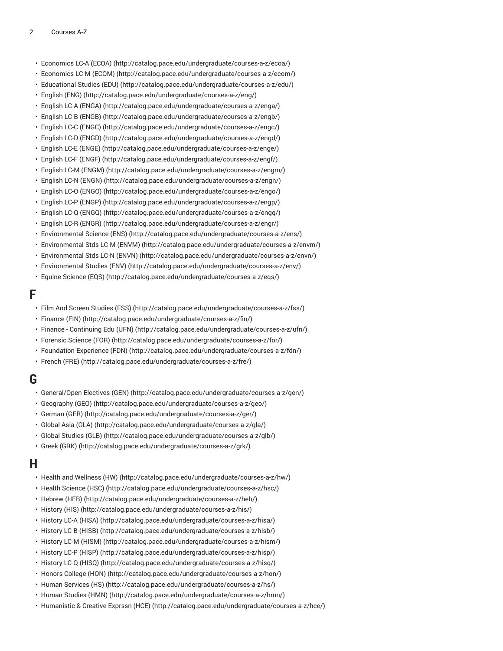- [Economics](http://catalog.pace.edu/undergraduate/courses-a-z/ecoa/) LC-A (ECOA) ([http://catalog.pace.edu/undergraduate/courses-a-z/ecoa/\)](http://catalog.pace.edu/undergraduate/courses-a-z/ecoa/)
- [Economics](http://catalog.pace.edu/undergraduate/courses-a-z/ecom/) LC-M (ECOM) (<http://catalog.pace.edu/undergraduate/courses-a-z/ecom/>)
- [Educational](http://catalog.pace.edu/undergraduate/courses-a-z/edu/) Studies (EDU) [\(http://catalog.pace.edu/undergraduate/courses-a-z/edu/\)](http://catalog.pace.edu/undergraduate/courses-a-z/edu/)
- [English \(ENG\) \(http://catalog.pace.edu/undergraduate/courses-a-z/eng/](http://catalog.pace.edu/undergraduate/courses-a-z/eng/))
- [English](http://catalog.pace.edu/undergraduate/courses-a-z/enga/) LC-A (ENGA) [\(http://catalog.pace.edu/undergraduate/courses-a-z/enga/](http://catalog.pace.edu/undergraduate/courses-a-z/enga/))
- [English](http://catalog.pace.edu/undergraduate/courses-a-z/engb/) LC-B (ENGB) (<http://catalog.pace.edu/undergraduate/courses-a-z/engb/>)
- [English](http://catalog.pace.edu/undergraduate/courses-a-z/engc/) LC-C (ENGC) ([http://catalog.pace.edu/undergraduate/courses-a-z/engc/\)](http://catalog.pace.edu/undergraduate/courses-a-z/engc/)
- English LC-D [\(ENGD\) \(http://catalog.pace.edu/undergraduate/courses-a-z/engd/\)](http://catalog.pace.edu/undergraduate/courses-a-z/engd/)
- [English](http://catalog.pace.edu/undergraduate/courses-a-z/enge/) LC-E (ENGE) [\(http://catalog.pace.edu/undergraduate/courses-a-z/enge/](http://catalog.pace.edu/undergraduate/courses-a-z/enge/))
- [English](http://catalog.pace.edu/undergraduate/courses-a-z/engf/) LC-F (ENGF) [\(http://catalog.pace.edu/undergraduate/courses-a-z/engf/\)](http://catalog.pace.edu/undergraduate/courses-a-z/engf/)
- English LC-M [\(ENGM\)](http://catalog.pace.edu/undergraduate/courses-a-z/engm/) ([http://catalog.pace.edu/undergraduate/courses-a-z/engm/\)](http://catalog.pace.edu/undergraduate/courses-a-z/engm/)
- [English](http://catalog.pace.edu/undergraduate/courses-a-z/engn/) LC-N (ENGN) [\(http://catalog.pace.edu/undergraduate/courses-a-z/engn/](http://catalog.pace.edu/undergraduate/courses-a-z/engn/))
- English LC-O [\(ENGO\)](http://catalog.pace.edu/undergraduate/courses-a-z/engo/) ([http://catalog.pace.edu/undergraduate/courses-a-z/engo/\)](http://catalog.pace.edu/undergraduate/courses-a-z/engo/)
- [English](http://catalog.pace.edu/undergraduate/courses-a-z/engp/) LC-P (ENGP) (<http://catalog.pace.edu/undergraduate/courses-a-z/engp/>)
- English LC-Q [\(ENGQ\)](http://catalog.pace.edu/undergraduate/courses-a-z/engq/) ([http://catalog.pace.edu/undergraduate/courses-a-z/engq/\)](http://catalog.pace.edu/undergraduate/courses-a-z/engq/)
- English LC-R [\(ENGR\) \(http://catalog.pace.edu/undergraduate/courses-a-z/engr/\)](http://catalog.pace.edu/undergraduate/courses-a-z/engr/)
- [Environmental](http://catalog.pace.edu/undergraduate/courses-a-z/ens/) Science (ENS) (<http://catalog.pace.edu/undergraduate/courses-a-z/ens/>)
- [Environmental](http://catalog.pace.edu/undergraduate/courses-a-z/envm/) Stds LC-M (ENVM) [\(http://catalog.pace.edu/undergraduate/courses-a-z/envm/](http://catalog.pace.edu/undergraduate/courses-a-z/envm/))
- [Environmental](http://catalog.pace.edu/undergraduate/courses-a-z/envn/) Stds LC-N (ENVN) (<http://catalog.pace.edu/undergraduate/courses-a-z/envn/>)
- [Environmental](http://catalog.pace.edu/undergraduate/courses-a-z/env/) Studies (ENV) ([http://catalog.pace.edu/undergraduate/courses-a-z/env/\)](http://catalog.pace.edu/undergraduate/courses-a-z/env/)
- Equine [Science](http://catalog.pace.edu/undergraduate/courses-a-z/eqs/) (EQS) (<http://catalog.pace.edu/undergraduate/courses-a-z/eqs/>)

#### **F**

- Film And Screen [Studies](http://catalog.pace.edu/undergraduate/courses-a-z/fss/) (FSS) (<http://catalog.pace.edu/undergraduate/courses-a-z/fss/>)
- [Finance \(FIN\) \(http://catalog.pace.edu/undergraduate/courses-a-z/fin/\)](http://catalog.pace.edu/undergraduate/courses-a-z/fin/)
- Finance [Continuing](http://catalog.pace.edu/undergraduate/courses-a-z/ufn/) Edu (UFN) [\(http://catalog.pace.edu/undergraduate/courses-a-z/ufn/\)](http://catalog.pace.edu/undergraduate/courses-a-z/ufn/)
- [Forensic](http://catalog.pace.edu/undergraduate/courses-a-z/for/) Science (FOR) (<http://catalog.pace.edu/undergraduate/courses-a-z/for/>)
- [Foundation](http://catalog.pace.edu/undergraduate/courses-a-z/fdn/) Experience (FDN) (<http://catalog.pace.edu/undergraduate/courses-a-z/fdn/>)
- [French](http://catalog.pace.edu/undergraduate/courses-a-z/fre/) (FRE) [\(http://catalog.pace.edu/undergraduate/courses-a-z/fre/](http://catalog.pace.edu/undergraduate/courses-a-z/fre/))

#### **G**

- [General/Open](http://catalog.pace.edu/undergraduate/courses-a-z/gen/) Electives (GEN) (<http://catalog.pace.edu/undergraduate/courses-a-z/gen/>)
- [Geography \(GEO\)](http://catalog.pace.edu/undergraduate/courses-a-z/geo/) (<http://catalog.pace.edu/undergraduate/courses-a-z/geo/>)
- [German \(GER\)](http://catalog.pace.edu/undergraduate/courses-a-z/ger/) ([http://catalog.pace.edu/undergraduate/courses-a-z/ger/\)](http://catalog.pace.edu/undergraduate/courses-a-z/ger/)
- [Global](http://catalog.pace.edu/undergraduate/courses-a-z/gla/) Asia (GLA) (<http://catalog.pace.edu/undergraduate/courses-a-z/gla/>)
- [Global Studies \(GLB\)](http://catalog.pace.edu/undergraduate/courses-a-z/glb/) ([http://catalog.pace.edu/undergraduate/courses-a-z/glb/\)](http://catalog.pace.edu/undergraduate/courses-a-z/glb/)
- Greek [\(GRK\) \(http://catalog.pace.edu/undergraduate/courses-a-z/grk/](http://catalog.pace.edu/undergraduate/courses-a-z/grk/))

#### **H**

- Health and [Wellness](http://catalog.pace.edu/undergraduate/courses-a-z/hw/) (HW) [\(http://catalog.pace.edu/undergraduate/courses-a-z/hw/](http://catalog.pace.edu/undergraduate/courses-a-z/hw/))
- Health [Science](http://catalog.pace.edu/undergraduate/courses-a-z/hsc/) (HSC) (<http://catalog.pace.edu/undergraduate/courses-a-z/hsc/>)
- [Hebrew](http://catalog.pace.edu/undergraduate/courses-a-z/heb/) (HEB) ([http://catalog.pace.edu/undergraduate/courses-a-z/heb/\)](http://catalog.pace.edu/undergraduate/courses-a-z/heb/)
- [History](http://catalog.pace.edu/undergraduate/courses-a-z/his/) (HIS) (<http://catalog.pace.edu/undergraduate/courses-a-z/his/>)
- [History](http://catalog.pace.edu/undergraduate/courses-a-z/hisa/) LC-A (HISA) (<http://catalog.pace.edu/undergraduate/courses-a-z/hisa/>)
- [History](http://catalog.pace.edu/undergraduate/courses-a-z/hisb/) LC-B (HISB) (<http://catalog.pace.edu/undergraduate/courses-a-z/hisb/>)
- [History](http://catalog.pace.edu/undergraduate/courses-a-z/hism/) LC-M (HISM) [\(http://catalog.pace.edu/undergraduate/courses-a-z/hism/\)](http://catalog.pace.edu/undergraduate/courses-a-z/hism/)
- [History](http://catalog.pace.edu/undergraduate/courses-a-z/hisp/) LC-P (HISP) (<http://catalog.pace.edu/undergraduate/courses-a-z/hisp/>)
- [History](http://catalog.pace.edu/undergraduate/courses-a-z/hisq/) LC-Q (HISQ) [\(http://catalog.pace.edu/undergraduate/courses-a-z/hisq/](http://catalog.pace.edu/undergraduate/courses-a-z/hisq/))
- [Honors College \(HON\)](http://catalog.pace.edu/undergraduate/courses-a-z/hon/) ([http://catalog.pace.edu/undergraduate/courses-a-z/hon/\)](http://catalog.pace.edu/undergraduate/courses-a-z/hon/)
- Human [Services](http://catalog.pace.edu/undergraduate/courses-a-z/hs/) (HS) [\(http://catalog.pace.edu/undergraduate/courses-a-z/hs/\)](http://catalog.pace.edu/undergraduate/courses-a-z/hs/)
- [Human Studies \(HMN\)](http://catalog.pace.edu/undergraduate/courses-a-z/hmn/) (<http://catalog.pace.edu/undergraduate/courses-a-z/hmn/>)
- [Humanistic](http://catalog.pace.edu/undergraduate/courses-a-z/hce/) & Creative Exprssn (HCE) (<http://catalog.pace.edu/undergraduate/courses-a-z/hce/>)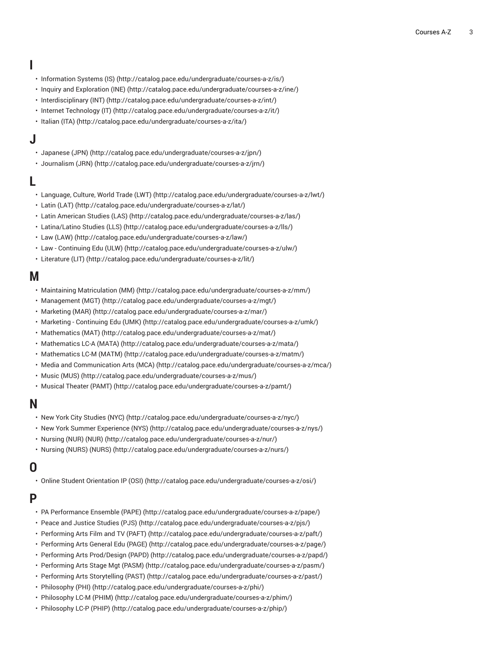# **I**

- [Information Systems \(IS\)](http://catalog.pace.edu/undergraduate/courses-a-z/is/) (<http://catalog.pace.edu/undergraduate/courses-a-z/is/>)
- Inquiry and [Exploration](http://catalog.pace.edu/undergraduate/courses-a-z/ine/) (INE) ([http://catalog.pace.edu/undergraduate/courses-a-z/ine/\)](http://catalog.pace.edu/undergraduate/courses-a-z/ine/)
- [Interdisciplinary](http://catalog.pace.edu/undergraduate/courses-a-z/int/) (INT) [\(http://catalog.pace.edu/undergraduate/courses-a-z/int/](http://catalog.pace.edu/undergraduate/courses-a-z/int/))
- Internet [Technology](http://catalog.pace.edu/undergraduate/courses-a-z/it/) (IT) [\(http://catalog.pace.edu/undergraduate/courses-a-z/it/\)](http://catalog.pace.edu/undergraduate/courses-a-z/it/)
- [Italian](http://catalog.pace.edu/undergraduate/courses-a-z/ita/) (ITA) ([http://catalog.pace.edu/undergraduate/courses-a-z/ita/\)](http://catalog.pace.edu/undergraduate/courses-a-z/ita/)

## **J**

- [Japanese \(JPN\)](http://catalog.pace.edu/undergraduate/courses-a-z/jpn/) [\(http://catalog.pace.edu/undergraduate/courses-a-z/jpn/\)](http://catalog.pace.edu/undergraduate/courses-a-z/jpn/)
- [Journalism \(JRN\)](http://catalog.pace.edu/undergraduate/courses-a-z/jrn/) ([http://catalog.pace.edu/undergraduate/courses-a-z/jrn/\)](http://catalog.pace.edu/undergraduate/courses-a-z/jrn/)

## **L**

- [Language,](http://catalog.pace.edu/undergraduate/courses-a-z/lwt/) Culture, World Trade (LWT) [\(http://catalog.pace.edu/undergraduate/courses-a-z/lwt/\)](http://catalog.pace.edu/undergraduate/courses-a-z/lwt/)
- Latin [\(LAT\) \(http://catalog.pace.edu/undergraduate/courses-a-z/lat/\)](http://catalog.pace.edu/undergraduate/courses-a-z/lat/)
- Latin [American](http://catalog.pace.edu/undergraduate/courses-a-z/las/) Studies (LAS) [\(http://catalog.pace.edu/undergraduate/courses-a-z/las/](http://catalog.pace.edu/undergraduate/courses-a-z/las/))
- [Latina/Latino Studies \(LLS\)](http://catalog.pace.edu/undergraduate/courses-a-z/lls/) [\(http://catalog.pace.edu/undergraduate/courses-a-z/lls/\)](http://catalog.pace.edu/undergraduate/courses-a-z/lls/)
- Law [\(LAW\) \(http://catalog.pace.edu/undergraduate/courses-a-z/law/](http://catalog.pace.edu/undergraduate/courses-a-z/law/))
- Law [Continuing](http://catalog.pace.edu/undergraduate/courses-a-z/ulw/) Edu (ULW) [\(http://catalog.pace.edu/undergraduate/courses-a-z/ulw/](http://catalog.pace.edu/undergraduate/courses-a-z/ulw/))
- [Literature](http://catalog.pace.edu/undergraduate/courses-a-z/lit/) (LIT) ([http://catalog.pace.edu/undergraduate/courses-a-z/lit/\)](http://catalog.pace.edu/undergraduate/courses-a-z/lit/)

#### **M**

- [Maintaining Matriculation \(MM\)](http://catalog.pace.edu/undergraduate/courses-a-z/mm/) (<http://catalog.pace.edu/undergraduate/courses-a-z/mm/>)
- [Management \(MGT\)](http://catalog.pace.edu/undergraduate/courses-a-z/mgt/) ([http://catalog.pace.edu/undergraduate/courses-a-z/mgt/\)](http://catalog.pace.edu/undergraduate/courses-a-z/mgt/)
- [Marketing](http://catalog.pace.edu/undergraduate/courses-a-z/mar/) (MAR) (<http://catalog.pace.edu/undergraduate/courses-a-z/mar/>)
- Marketing [Continuing](http://catalog.pace.edu/undergraduate/courses-a-z/umk/) Edu (UMK) ([http://catalog.pace.edu/undergraduate/courses-a-z/umk/\)](http://catalog.pace.edu/undergraduate/courses-a-z/umk/)
- [Mathematics](http://catalog.pace.edu/undergraduate/courses-a-z/mat/) (MAT) [\(http://catalog.pace.edu/undergraduate/courses-a-z/mat/](http://catalog.pace.edu/undergraduate/courses-a-z/mat/))
- [Mathematics](http://catalog.pace.edu/undergraduate/courses-a-z/mata/) LC-A (MATA) ([http://catalog.pace.edu/undergraduate/courses-a-z/mata/\)](http://catalog.pace.edu/undergraduate/courses-a-z/mata/)
- [Mathematics](http://catalog.pace.edu/undergraduate/courses-a-z/matm/) LC-M (MATM) ([http://catalog.pace.edu/undergraduate/courses-a-z/matm/\)](http://catalog.pace.edu/undergraduate/courses-a-z/matm/)
- Media and [Communication](http://catalog.pace.edu/undergraduate/courses-a-z/mca/) Arts (MCA) (<http://catalog.pace.edu/undergraduate/courses-a-z/mca/>)
- [Music \(MUS\) \(http://catalog.pace.edu/undergraduate/courses-a-z/mus/\)](http://catalog.pace.edu/undergraduate/courses-a-z/mus/)
- [Musical](http://catalog.pace.edu/undergraduate/courses-a-z/pamt/) Theater (PAMT) [\(http://catalog.pace.edu/undergraduate/courses-a-z/pamt/](http://catalog.pace.edu/undergraduate/courses-a-z/pamt/))

#### **N**

- New York City [Studies](http://catalog.pace.edu/undergraduate/courses-a-z/nyc/) (NYC) [\(http://catalog.pace.edu/undergraduate/courses-a-z/nyc/\)](http://catalog.pace.edu/undergraduate/courses-a-z/nyc/)
- New York Summer [Experience](http://catalog.pace.edu/undergraduate/courses-a-z/nys/) (NYS) [\(http://catalog.pace.edu/undergraduate/courses-a-z/nys/](http://catalog.pace.edu/undergraduate/courses-a-z/nys/))
- [Nursing \(NUR\) \(NUR\) \(http://catalog.pace.edu/undergraduate/courses-a-z/nur/\)](http://catalog.pace.edu/undergraduate/courses-a-z/nur/)
- [Nursing \(NURS\) \(NURS\) \(http://catalog.pace.edu/undergraduate/courses-a-z/nurs/\)](http://catalog.pace.edu/undergraduate/courses-a-z/nurs/)

# **O**

• [Online Student Orientation IP \(OSI\)](http://catalog.pace.edu/undergraduate/courses-a-z/osi/) [\(http://catalog.pace.edu/undergraduate/courses-a-z/osi/](http://catalog.pace.edu/undergraduate/courses-a-z/osi/))

#### **P**

- PA [Performance](http://catalog.pace.edu/undergraduate/courses-a-z/pape/) Ensemble (PAPE) (<http://catalog.pace.edu/undergraduate/courses-a-z/pape/>)
- Peace and Justice [Studies](http://catalog.pace.edu/undergraduate/courses-a-z/pjs/) (PJS) ([http://catalog.pace.edu/undergraduate/courses-a-z/pjs/\)](http://catalog.pace.edu/undergraduate/courses-a-z/pjs/)
- [Performing](http://catalog.pace.edu/undergraduate/courses-a-z/paft/) Arts Film and TV (PAFT) ([http://catalog.pace.edu/undergraduate/courses-a-z/paft/\)](http://catalog.pace.edu/undergraduate/courses-a-z/paft/)
- [Performing](http://catalog.pace.edu/undergraduate/courses-a-z/page/) Arts General Edu (PAGE) [\(http://catalog.pace.edu/undergraduate/courses-a-z/page/](http://catalog.pace.edu/undergraduate/courses-a-z/page/))
- Performing Arts [Prod/Design](http://catalog.pace.edu/undergraduate/courses-a-z/papd/) (PAPD) (<http://catalog.pace.edu/undergraduate/courses-a-z/papd/>)
- [Performing](http://catalog.pace.edu/undergraduate/courses-a-z/pasm/) Arts Stage Mgt (PASM) (<http://catalog.pace.edu/undergraduate/courses-a-z/pasm/>)
- Performing Arts [Storytelling](http://catalog.pace.edu/undergraduate/courses-a-z/past/) (PAST) ([http://catalog.pace.edu/undergraduate/courses-a-z/past/\)](http://catalog.pace.edu/undergraduate/courses-a-z/past/)
- [Philosophy \(PHI\)](http://catalog.pace.edu/undergraduate/courses-a-z/phi/) [\(http://catalog.pace.edu/undergraduate/courses-a-z/phi/\)](http://catalog.pace.edu/undergraduate/courses-a-z/phi/)
- [Philosophy](http://catalog.pace.edu/undergraduate/courses-a-z/phim/) LC-M (PHIM) (<http://catalog.pace.edu/undergraduate/courses-a-z/phim/>)
- [Philosophy](http://catalog.pace.edu/undergraduate/courses-a-z/phip/) LC-P (PHIP) ([http://catalog.pace.edu/undergraduate/courses-a-z/phip/\)](http://catalog.pace.edu/undergraduate/courses-a-z/phip/)